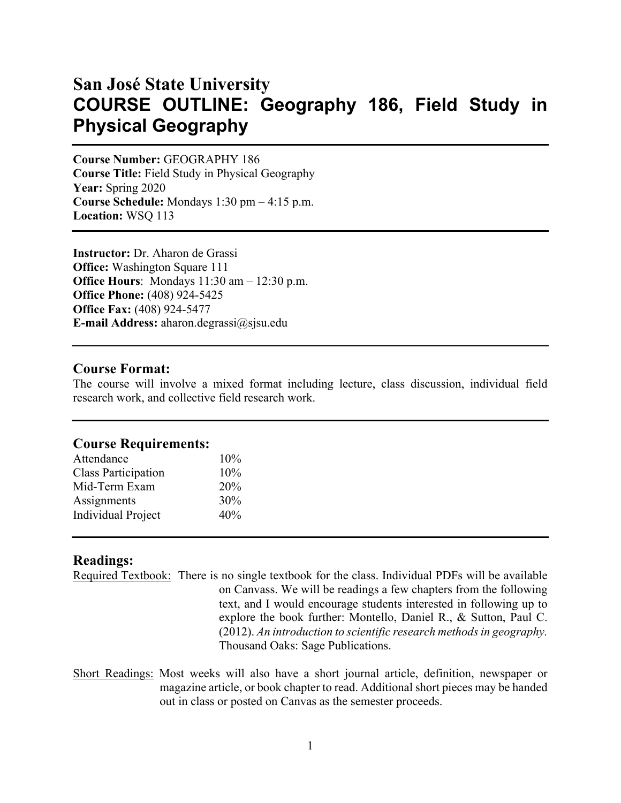# **San José State University COURSE OUTLINE: Geography 186, Field Study in Physical Geography**

**Course Number:** GEOGRAPHY 186 **Course Title:** Field Study in Physical Geography **Year:** Spring 2020 **Course Schedule:** Mondays 1:30 pm – 4:15 p.m. **Location:** WSQ 113

**Instructor:** Dr. Aharon de Grassi **Office:** Washington Square 111 **Office Hours**: Mondays 11:30 am – 12:30 p.m. **Office Phone:** (408) 924-5425 **Office Fax:** (408) 924-5477 **E-mail Address:** aharon.degrassi@sjsu.edu

### **Course Format:**

The course will involve a mixed format including lecture, class discussion, individual field research work, and collective field research work.

#### **Course Requirements:**

| Attendance                 | 10% |
|----------------------------|-----|
| <b>Class Participation</b> | 10% |
| Mid-Term Exam              | 20% |
| Assignments                | 30% |
| <b>Individual Project</b>  | 40% |

### **Readings:**

Required Textbook:There is no single textbook for the class. Individual PDFs will be available on Canvass. We will be readings a few chapters from the following text, and I would encourage students interested in following up to explore the book further: Montello, Daniel R., & Sutton, Paul C. (2012). *An introduction to scientific research methods in geography.*  Thousand Oaks: Sage Publications.

Short Readings: Most weeks will also have a short journal article, definition, newspaper or magazine article, or book chapter to read. Additional short pieces may be handed out in class or posted on Canvas as the semester proceeds.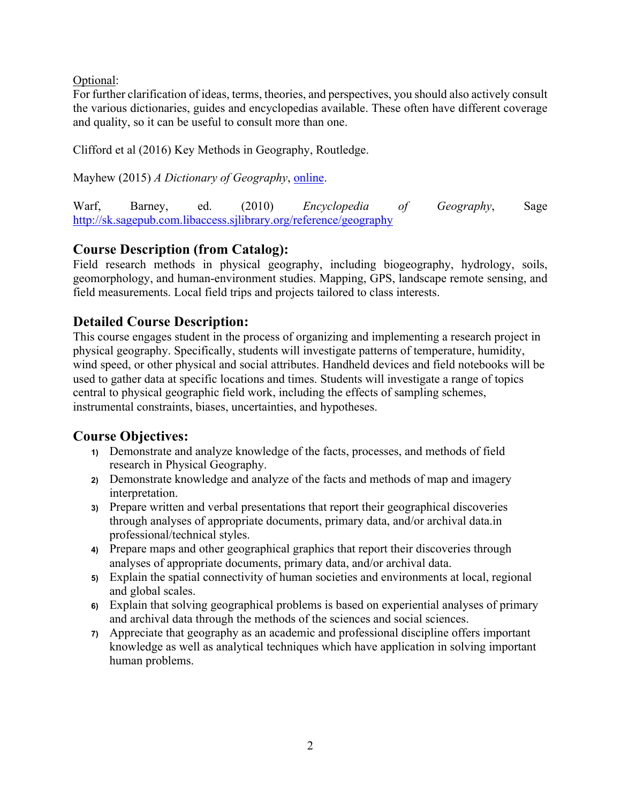Optional:

For further clarification of ideas, terms, theories, and perspectives, you should also actively consult the various dictionaries, guides and encyclopedias available. These often have different coverage and quality, so it can be useful to consult more than one.

Clifford et al (2016) Key Methods in Geography, Routledge.

Mayhew (2015) *A Dictionary of Geography*, online.

Warf, Barney, ed. (2010) *Encyclopedia of Geography*, Sage http://sk.sagepub.com.libaccess.sjlibrary.org/reference/geography

# **Course Description (from Catalog):**

Field research methods in physical geography, including biogeography, hydrology, soils, geomorphology, and human-environment studies. Mapping, GPS, landscape remote sensing, and field measurements. Local field trips and projects tailored to class interests.

# **Detailed Course Description:**

This course engages student in the process of organizing and implementing a research project in physical geography. Specifically, students will investigate patterns of temperature, humidity, wind speed, or other physical and social attributes. Handheld devices and field notebooks will be used to gather data at specific locations and times. Students will investigate a range of topics central to physical geographic field work, including the effects of sampling schemes, instrumental constraints, biases, uncertainties, and hypotheses.

# **Course Objectives:**

- **1)** Demonstrate and analyze knowledge of the facts, processes, and methods of field research in Physical Geography.
- **2)** Demonstrate knowledge and analyze of the facts and methods of map and imagery interpretation.
- **3)** Prepare written and verbal presentations that report their geographical discoveries through analyses of appropriate documents, primary data, and/or archival data.in professional/technical styles.
- **4)** Prepare maps and other geographical graphics that report their discoveries through analyses of appropriate documents, primary data, and/or archival data.
- **5)** Explain the spatial connectivity of human societies and environments at local, regional and global scales.
- **6)** Explain that solving geographical problems is based on experiential analyses of primary and archival data through the methods of the sciences and social sciences.
- **7)** Appreciate that geography as an academic and professional discipline offers important knowledge as well as analytical techniques which have application in solving important human problems.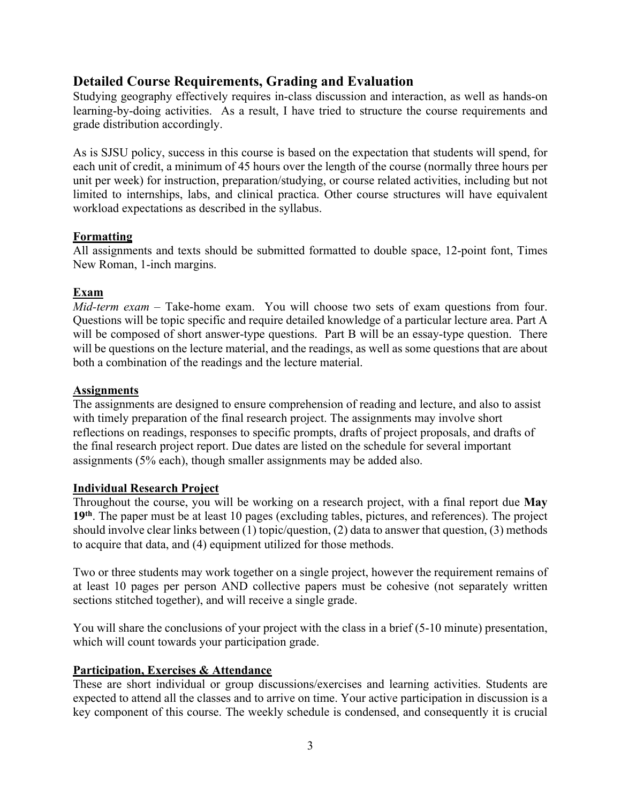# **Detailed Course Requirements, Grading and Evaluation**

Studying geography effectively requires in-class discussion and interaction, as well as hands-on learning-by-doing activities. As a result, I have tried to structure the course requirements and grade distribution accordingly.

As is SJSU policy, success in this course is based on the expectation that students will spend, for each unit of credit, a minimum of 45 hours over the length of the course (normally three hours per unit per week) for instruction, preparation/studying, or course related activities, including but not limited to internships, labs, and clinical practica. Other course structures will have equivalent workload expectations as described in the syllabus.

### **Formatting**

All assignments and texts should be submitted formatted to double space, 12-point font, Times New Roman, 1-inch margins.

# **Exam**

*Mid-term exam* – Take-home exam. You will choose two sets of exam questions from four. Questions will be topic specific and require detailed knowledge of a particular lecture area. Part A will be composed of short answer-type questions. Part B will be an essay-type question. There will be questions on the lecture material, and the readings, as well as some questions that are about both a combination of the readings and the lecture material.

### **Assignments**

The assignments are designed to ensure comprehension of reading and lecture, and also to assist with timely preparation of the final research project. The assignments may involve short reflections on readings, responses to specific prompts, drafts of project proposals, and drafts of the final research project report. Due dates are listed on the schedule for several important assignments (5% each), though smaller assignments may be added also.

# **Individual Research Project**

Throughout the course, you will be working on a research project, with a final report due **May 19th**. The paper must be at least 10 pages (excluding tables, pictures, and references). The project should involve clear links between (1) topic/question, (2) data to answer that question, (3) methods to acquire that data, and (4) equipment utilized for those methods.

Two or three students may work together on a single project, however the requirement remains of at least 10 pages per person AND collective papers must be cohesive (not separately written sections stitched together), and will receive a single grade.

You will share the conclusions of your project with the class in a brief (5-10 minute) presentation, which will count towards your participation grade.

# **Participation, Exercises & Attendance**

These are short individual or group discussions/exercises and learning activities. Students are expected to attend all the classes and to arrive on time. Your active participation in discussion is a key component of this course. The weekly schedule is condensed, and consequently it is crucial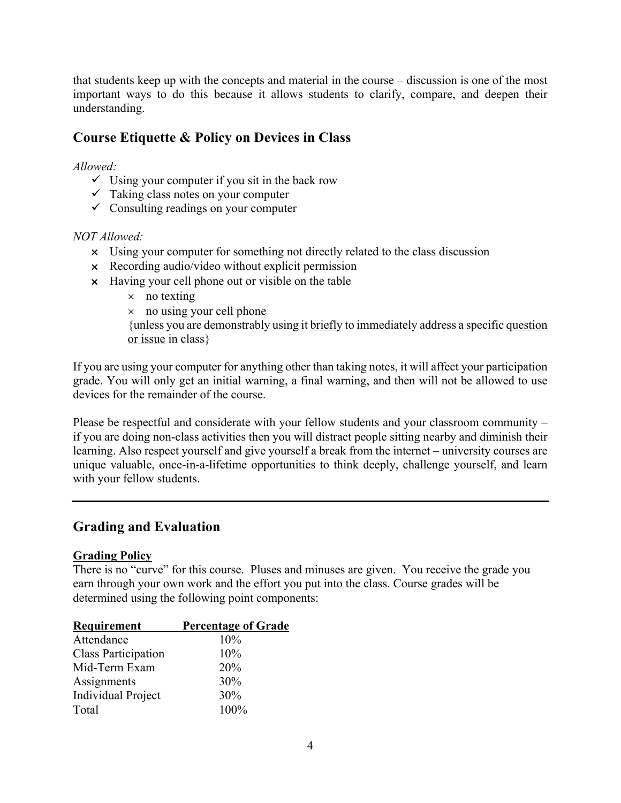that students keep up with the concepts and material in the course – discussion is one of the most important ways to do this because it allows students to clarify, compare, and deepen their understanding.

# **Course Etiquette & Policy on Devices in Class**

### *Allowed:*

- $\checkmark$  Using your computer if you sit in the back row
- $\checkmark$  Taking class notes on your computer
- $\checkmark$  Consulting readings on your computer

### *NOT Allowed:*

- $\times$  Using your computer for something not directly related to the class discussion
- $\times$  Recording audio/video without explicit permission
- $\times$  Having your cell phone out or visible on the table
	- $\times$  no texting
	- $\times$  no using your cell phone

{unless you are demonstrably using it briefly to immediately address a specific question or issue in class}

If you are using your computer for anything other than taking notes, it will affect your participation grade. You will only get an initial warning, a final warning, and then will not be allowed to use devices for the remainder of the course.

Please be respectful and considerate with your fellow students and your classroom community – if you are doing non-class activities then you will distract people sitting nearby and diminish their learning. Also respect yourself and give yourself a break from the internet – university courses are unique valuable, once-in-a-lifetime opportunities to think deeply, challenge yourself, and learn with your fellow students.

# **Grading and Evaluation**

### **Grading Policy**

There is no "curve" for this course. Pluses and minuses are given. You receive the grade you earn through your own work and the effort you put into the class. Course grades will be determined using the following point components:

| Requirement                | <b>Percentage of Grade</b> |
|----------------------------|----------------------------|
| Attendance                 | 10%                        |
| <b>Class Participation</b> | 10%                        |
| Mid-Term Exam              | 20%                        |
| Assignments                | 30%                        |
| <b>Individual Project</b>  | 30%                        |
| Total                      | 100%                       |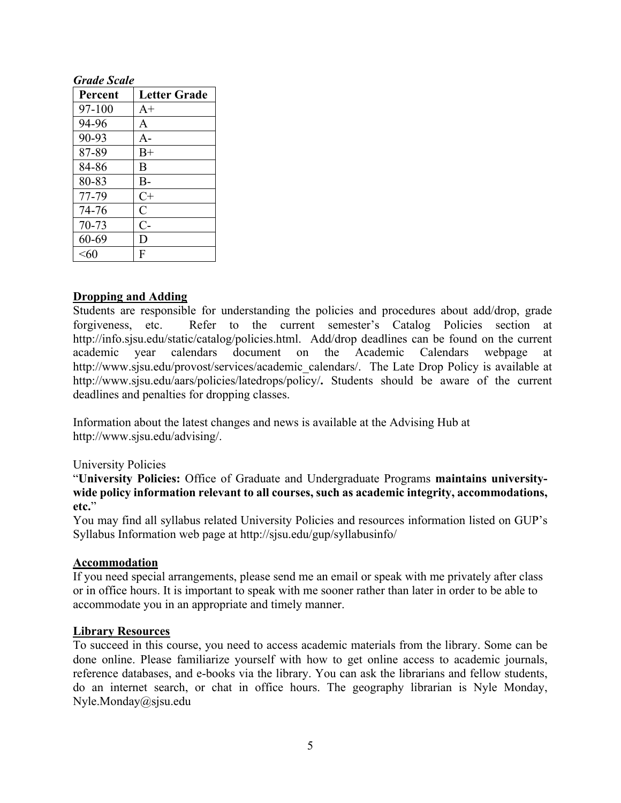### *Grade Scale*

| Percent   | <b>Letter Grade</b> |
|-----------|---------------------|
| 97-100    | $A+$                |
| 94-96     | A                   |
| 90-93     | $A-$                |
| 87-89     | $B+$                |
| 84-86     | B                   |
| 80-83     | $B-$                |
| 77-79     | $C+$                |
| 74-76     | $\overline{C}$      |
| $70 - 73$ | $C-$                |
| 60-69     | D                   |
| $<$ 60    | F                   |

### **Dropping and Adding**

Students are responsible for understanding the policies and procedures about add/drop, grade forgiveness, etc. Refer to the current semester's Catalog Policies section at http://info.sjsu.edu/static/catalog/policies.html. Add/drop deadlines can be found on the current academic year calendars document on the Academic Calendars webpage at http://www.sjsu.edu/provost/services/academic\_calendars/. The Late Drop Policy is available at http://www.sjsu.edu/aars/policies/latedrops/policy/**.** Students should be aware of the current deadlines and penalties for dropping classes.

Information about the latest changes and news is available at the Advising Hub at http://www.sjsu.edu/advising/.

#### University Policies

"**University Policies:** Office of Graduate and Undergraduate Programs **maintains universitywide policy information relevant to all courses, such as academic integrity, accommodations, etc.**"

You may find all syllabus related University Policies and resources information listed on GUP's Syllabus Information web page at http://sjsu.edu/gup/syllabusinfo/

#### **Accommodation**

If you need special arrangements, please send me an email or speak with me privately after class or in office hours. It is important to speak with me sooner rather than later in order to be able to accommodate you in an appropriate and timely manner.

#### **Library Resources**

To succeed in this course, you need to access academic materials from the library. Some can be done online. Please familiarize yourself with how to get online access to academic journals, reference databases, and e-books via the library. You can ask the librarians and fellow students, do an internet search, or chat in office hours. The geography librarian is Nyle Monday, Nyle.Monday@sjsu.edu